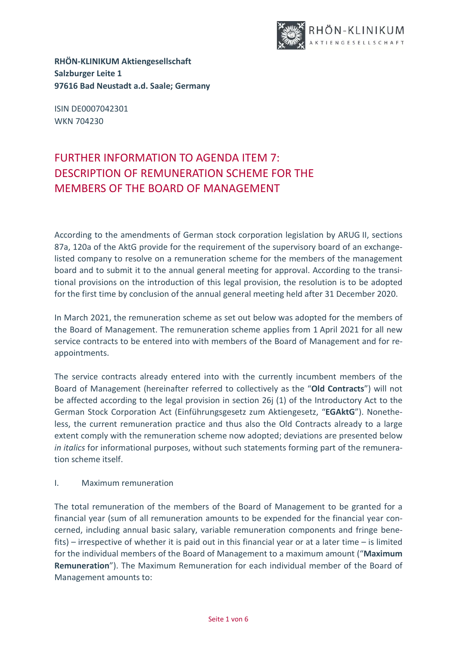

**RHÖN-KLINIKUM Aktiengesellschaft Salzburger Leite 1 97616 Bad Neustadt a.d. Saale; Germany**

ISIN DE0007042301 WKN 704230

## FURTHER INFORMATION TO AGENDA ITEM 7: DESCRIPTION OF REMUNERATION SCHEME FOR THE MEMBERS OF THE BOARD OF MANAGEMENT

According to the amendments of German stock corporation legislation by ARUG II, sections 87a, 120a of the AktG provide for the requirement of the supervisory board of an exchangelisted company to resolve on a remuneration scheme for the members of the management board and to submit it to the annual general meeting for approval. According to the transitional provisions on the introduction of this legal provision, the resolution is to be adopted for the first time by conclusion of the annual general meeting held after 31 December 2020.

In March 2021, the remuneration scheme as set out below was adopted for the members of the Board of Management. The remuneration scheme applies from 1 April 2021 for all new service contracts to be entered into with members of the Board of Management and for reappointments.

The service contracts already entered into with the currently incumbent members of the Board of Management (hereinafter referred to collectively as the "**Old Contracts**") will not be affected according to the legal provision in section 26j (1) of the Introductory Act to the German Stock Corporation Act (Einführungsgesetz zum Aktiengesetz, "**EGAktG**"). Nonetheless, the current remuneration practice and thus also the Old Contracts already to a large extent comply with the remuneration scheme now adopted; deviations are presented below *in italics* for informational purposes, without such statements forming part of the remuneration scheme itself.

I. Maximum remuneration

The total remuneration of the members of the Board of Management to be granted for a financial year (sum of all remuneration amounts to be expended for the financial year concerned, including annual basic salary, variable remuneration components and fringe benefits) – irrespective of whether it is paid out in this financial year or at a later time – is limited for the individual members of the Board of Management to a maximum amount ("**Maximum Remuneration**"). The Maximum Remuneration for each individual member of the Board of Management amounts to: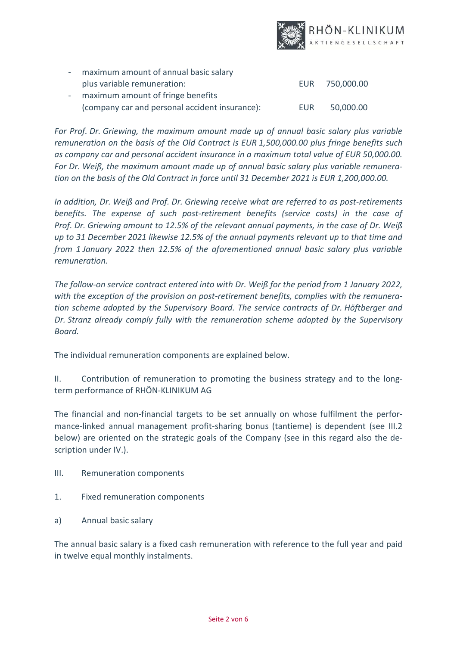

| - maximum amount of annual basic salary        |     |                |
|------------------------------------------------|-----|----------------|
| plus variable remuneration:                    |     | EUR 750,000.00 |
| - maximum amount of fringe benefits            |     |                |
| (company car and personal accident insurance): | EUR | 50,000.00      |

*For Prof. Dr. Griewing, the maximum amount made up of annual basic salary plus variable remuneration on the basis of the Old Contract is EUR 1,500,000.00 plus fringe benefits such as company car and personal accident insurance in a maximum total value of EUR 50,000.00. For Dr. Weiß, the maximum amount made up of annual basic salary plus variable remuneration on the basis of the Old Contract in force until 31 December 2021 is EUR 1,200,000.00.*

*In addition, Dr. Weiß and Prof. Dr. Griewing receive what are referred to as post-retirements benefits. The expense of such post-retirement benefits (service costs) in the case of Prof. Dr. Griewing amount to 12.5% of the relevant annual payments, in the case of Dr. Weiß up to 31 December 2021 likewise 12.5% of the annual payments relevant up to that time and from 1 January 2022 then 12.5% of the aforementioned annual basic salary plus variable remuneration.*

*The follow-on service contract entered into with Dr. Weiß for the period from 1 January 2022, with the exception of the provision on post-retirement benefits, complies with the remuneration scheme adopted by the Supervisory Board. The service contracts of Dr. Höftberger and Dr. Stranz already comply fully with the remuneration scheme adopted by the Supervisory Board.*

The individual remuneration components are explained below.

II. Contribution of remuneration to promoting the business strategy and to the longterm performance of RHÖN-KLINIKUM AG

The financial and non-financial targets to be set annually on whose fulfilment the performance-linked annual management profit-sharing bonus (tantieme) is dependent (see III.2 below) are oriented on the strategic goals of the Company (see in this regard also the description under IV.).

- III. Remuneration components
- 1. Fixed remuneration components
- a) Annual basic salary

The annual basic salary is a fixed cash remuneration with reference to the full year and paid in twelve equal monthly instalments.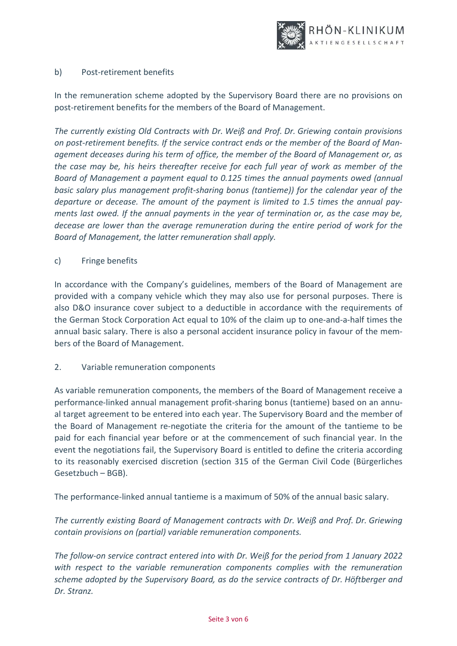

## b) Post-retirement benefits

In the remuneration scheme adopted by the Supervisory Board there are no provisions on post-retirement benefits for the members of the Board of Management.

*The currently existing Old Contracts with Dr. Weiß and Prof. Dr. Griewing contain provisions on post-retirement benefits. If the service contract ends or the member of the Board of Management deceases during his term of office, the member of the Board of Management or, as the case may be, his heirs thereafter receive for each full year of work as member of the Board of Management a payment equal to 0.125 times the annual payments owed (annual basic salary plus management profit-sharing bonus (tantieme)) for the calendar year of the departure or decease. The amount of the payment is limited to 1.5 times the annual payments last owed. If the annual payments in the year of termination or, as the case may be, decease are lower than the average remuneration during the entire period of work for the Board of Management, the latter remuneration shall apply.*

## c) Fringe benefits

In accordance with the Company's guidelines, members of the Board of Management are provided with a company vehicle which they may also use for personal purposes. There is also D&O insurance cover subject to a deductible in accordance with the requirements of the German Stock Corporation Act equal to 10% of the claim up to one-and-a-half times the annual basic salary. There is also a personal accident insurance policy in favour of the members of the Board of Management.

## 2. Variable remuneration components

As variable remuneration components, the members of the Board of Management receive a performance-linked annual management profit-sharing bonus (tantieme) based on an annual target agreement to be entered into each year. The Supervisory Board and the member of the Board of Management re-negotiate the criteria for the amount of the tantieme to be paid for each financial year before or at the commencement of such financial year. In the event the negotiations fail, the Supervisory Board is entitled to define the criteria according to its reasonably exercised discretion (section 315 of the German Civil Code (Bürgerliches Gesetzbuch – BGB).

The performance-linked annual tantieme is a maximum of 50% of the annual basic salary.

*The currently existing Board of Management contracts with Dr. Weiß and Prof. Dr. Griewing contain provisions on (partial) variable remuneration components.* 

*The follow-on service contract entered into with Dr. Weiß for the period from 1 January 2022 with respect to the variable remuneration components complies with the remuneration scheme adopted by the Supervisory Board, as do the service contracts of Dr. Höftberger and Dr. Stranz.*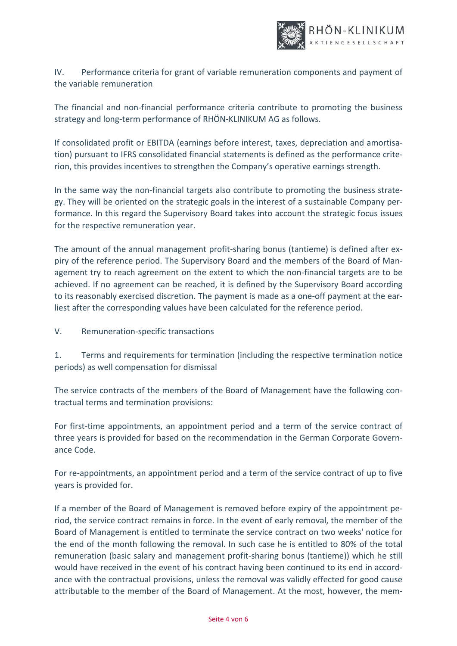

IV. Performance criteria for grant of variable remuneration components and payment of the variable remuneration

The financial and non-financial performance criteria contribute to promoting the business strategy and long-term performance of RHÖN-KLINIKUM AG as follows.

If consolidated profit or EBITDA (earnings before interest, taxes, depreciation and amortisation) pursuant to IFRS consolidated financial statements is defined as the performance criterion, this provides incentives to strengthen the Company's operative earnings strength.

In the same way the non-financial targets also contribute to promoting the business strategy. They will be oriented on the strategic goals in the interest of a sustainable Company performance. In this regard the Supervisory Board takes into account the strategic focus issues for the respective remuneration year.

The amount of the annual management profit-sharing bonus (tantieme) is defined after expiry of the reference period. The Supervisory Board and the members of the Board of Management try to reach agreement on the extent to which the non-financial targets are to be achieved. If no agreement can be reached, it is defined by the Supervisory Board according to its reasonably exercised discretion. The payment is made as a one-off payment at the earliest after the corresponding values have been calculated for the reference period.

V. Remuneration-specific transactions

1. Terms and requirements for termination (including the respective termination notice periods) as well compensation for dismissal

The service contracts of the members of the Board of Management have the following contractual terms and termination provisions:

For first-time appointments, an appointment period and a term of the service contract of three years is provided for based on the recommendation in the German Corporate Governance Code.

For re-appointments, an appointment period and a term of the service contract of up to five years is provided for.

If a member of the Board of Management is removed before expiry of the appointment period, the service contract remains in force. In the event of early removal, the member of the Board of Management is entitled to terminate the service contract on two weeks' notice for the end of the month following the removal. In such case he is entitled to 80% of the total remuneration (basic salary and management profit-sharing bonus (tantieme)) which he still would have received in the event of his contract having been continued to its end in accordance with the contractual provisions, unless the removal was validly effected for good cause attributable to the member of the Board of Management. At the most, however, the mem-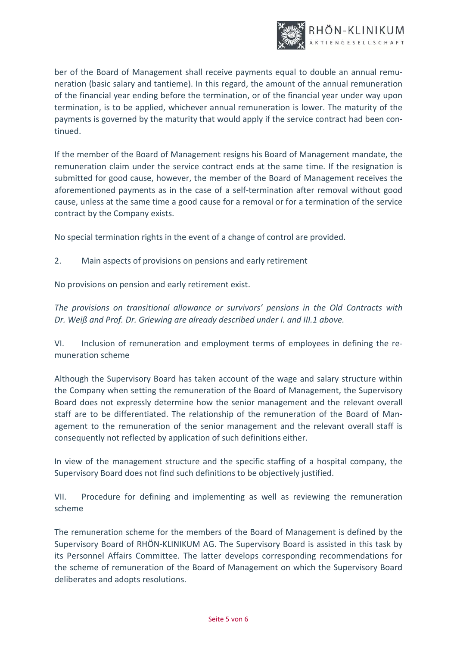

ber of the Board of Management shall receive payments equal to double an annual remuneration (basic salary and tantieme). In this regard, the amount of the annual remuneration of the financial year ending before the termination, or of the financial year under way upon termination, is to be applied, whichever annual remuneration is lower. The maturity of the payments is governed by the maturity that would apply if the service contract had been continued.

If the member of the Board of Management resigns his Board of Management mandate, the remuneration claim under the service contract ends at the same time. If the resignation is submitted for good cause, however, the member of the Board of Management receives the aforementioned payments as in the case of a self-termination after removal without good cause, unless at the same time a good cause for a removal or for a termination of the service contract by the Company exists.

No special termination rights in the event of a change of control are provided.

2. Main aspects of provisions on pensions and early retirement

No provisions on pension and early retirement exist.

*The provisions on transitional allowance or survivors' pensions in the Old Contracts with Dr. Weiß and Prof. Dr. Griewing are already described under I. and III.1 above.*

VI. Inclusion of remuneration and employment terms of employees in defining the remuneration scheme

Although the Supervisory Board has taken account of the wage and salary structure within the Company when setting the remuneration of the Board of Management, the Supervisory Board does not expressly determine how the senior management and the relevant overall staff are to be differentiated. The relationship of the remuneration of the Board of Management to the remuneration of the senior management and the relevant overall staff is consequently not reflected by application of such definitions either.

In view of the management structure and the specific staffing of a hospital company, the Supervisory Board does not find such definitions to be objectively justified.

VII. Procedure for defining and implementing as well as reviewing the remuneration scheme

The remuneration scheme for the members of the Board of Management is defined by the Supervisory Board of RHÖN-KLINIKUM AG. The Supervisory Board is assisted in this task by its Personnel Affairs Committee. The latter develops corresponding recommendations for the scheme of remuneration of the Board of Management on which the Supervisory Board deliberates and adopts resolutions.